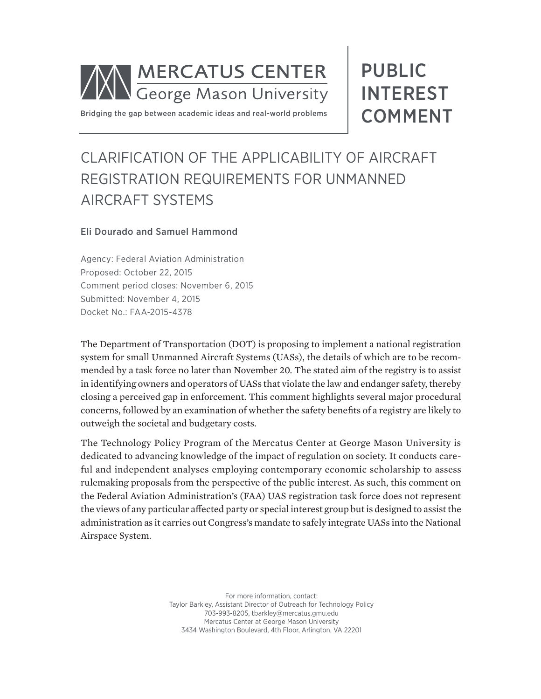

Bridging the gap between academic ideas and real-world problems

# PUBLIC INTEREST COMMENT

## CLARIFICATION OF THE APPLICABILITY OF AIRCRAFT REGISTRATION REQUIREMENTS FOR UNMANNED AIRCRAFT SYSTEMS

### Eli Dourado and Samuel Hammond

Agency: Federal Aviation Administration Proposed: October 22, 2015 Comment period closes: November 6, 2015 Submitted: November 4, 2015 Docket No.: FAA-2015-4378

The Department of Transportation (DOT) is proposing to implement a national registration system for small Unmanned Aircraft Systems (UASs), the details of which are to be recommended by a task force no later than November 20. The stated aim of the registry is to assist in identifying owners and operators of UASs that violate the law and endanger safety, thereby closing a perceived gap in enforcement. This comment highlights several major procedural concerns, followed by an examination of whether the safety benefits of a registry are likely to outweigh the societal and budgetary costs.

The Technology Policy Program of the Mercatus Center at George Mason University is dedicated to advancing knowledge of the impact of regulation on society. It conducts careful and independent analyses employing contemporary economic scholarship to assess rulemaking proposals from the perspective of the public interest. As such, this comment on the Federal Aviation Administration's (FAA) UAS registration task force does not represent the views of any particular affected party or special interest group but is designed to assist the administration as it carries out Congress's mandate to safely integrate UASs into the National Airspace System.

> For more information, contact: Taylor Barkley, Assistant Director of Outreach for Technology Policy 703-993-8205, tbarkley@mercatus.gmu.edu Mercatus Center at George Mason University 3434 Washington Boulevard, 4th Floor, Arlington, VA 22201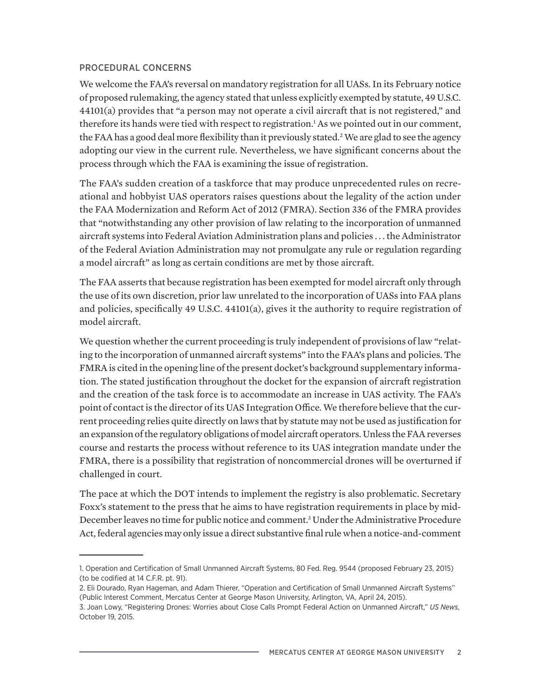#### PROCEDURAL CONCERNS

We welcome the FAA's reversal on mandatory registration for all UASs. In its February notice of proposed rulemaking, the agency stated that unless explicitly exempted by statute, 49 U.S.C. 44101(a) provides that "a person may not operate a civil aircraft that is not registered," and therefore its hands were tied with respect to registration.<sup>1</sup> As we pointed out in our comment, the FAA has a good deal more flexibility than it previously stated.<sup>2</sup> We are glad to see the agency adopting our view in the current rule. Nevertheless, we have significant concerns about the process through which the FAA is examining the issue of registration.

The FAA's sudden creation of a taskforce that may produce unprecedented rules on recreational and hobbyist UAS operators raises questions about the legality of the action under the FAA Modernization and Reform Act of 2012 (FMRA). Section 336 of the FMRA provides that "notwithstanding any other provision of law relating to the incorporation of unmanned aircraft systems into Federal Aviation Administration plans and policies . . . the Administrator of the Federal Aviation Administration may not promulgate any rule or regulation regarding a model aircraft" as long as certain conditions are met by those aircraft.

The FAA asserts that because registration has been exempted for model aircraft only through the use of its own discretion, prior law unrelated to the incorporation of UASs into FAA plans and policies, specifically 49 U.S.C. 44101(a), gives it the authority to require registration of model aircraft.

We question whether the current proceeding is truly independent of provisions of law "relating to the incorporation of unmanned aircraft systems" into the FAA's plans and policies. The FMRA is cited in the opening line of the present docket's background supplementary information. The stated justification throughout the docket for the expansion of aircraft registration and the creation of the task force is to accommodate an increase in UAS activity. The FAA's point of contact is the director of its UAS Integration Office. We therefore believe that the current proceeding relies quite directly on laws that by statute may not be used as justification for an expansion of the regulatory obligations of model aircraft operators. Unless the FAA reverses course and restarts the process without reference to its UAS integration mandate under the FMRA, there is a possibility that registration of noncommercial drones will be overturned if challenged in court.

The pace at which the DOT intends to implement the registry is also problematic. Secretary Foxx's statement to the press that he aims to have registration requirements in place by mid-December leaves no time for public notice and comment.<sup>3</sup> Under the Administrative Procedure Act, federal agencies may only issue a direct substantive final rule when a notice-and-comment

<sup>1.</sup> Operation and Certification of Small Unmanned Aircraft Systems, 80 Fed. Reg. 9544 (proposed February 23, 2015) (to be codified at 14 C.F.R. pt. 91).

<sup>2.</sup> Eli Dourado, Ryan Hageman, and Adam Thierer, "Operation and Certification of Small Unmanned Aircraft Systems" (Public Interest Comment, Mercatus Center at George Mason University, Arlington, VA, April 24, 2015).

<sup>3.</sup> Joan Lowy, "Registering Drones: Worries about Close Calls Prompt Federal Action on Unmanned Aircraft," *US News*, October 19, 2015.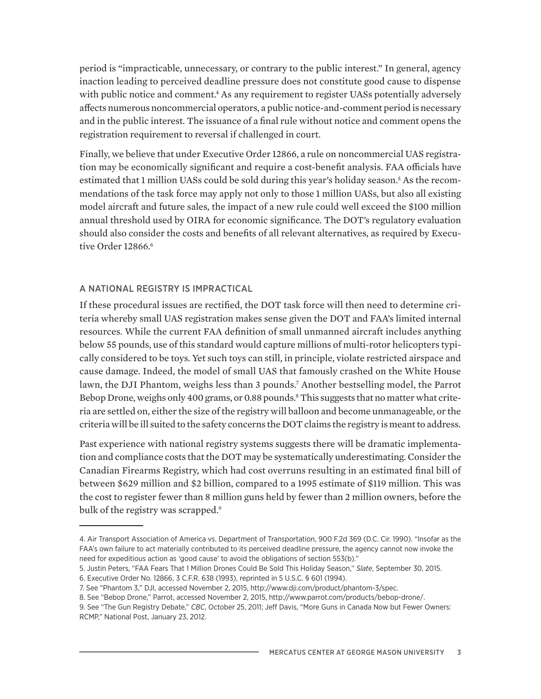period is "impracticable, unnecessary, or contrary to the public interest." In general, agency inaction leading to perceived deadline pressure does not constitute good cause to dispense with public notice and comment.<sup>4</sup> As any requirement to register UASs potentially adversely affects numerous noncommercial operators, a public notice-and-comment period is necessary and in the public interest. The issuance of a final rule without notice and comment opens the registration requirement to reversal if challenged in court.

Finally, we believe that under Executive Order 12866, a rule on noncommercial UAS registration may be economically significant and require a cost-benefit analysis. FAA officials have estimated that 1 million UASs could be sold during this year's holiday season.<sup>5</sup> As the recommendations of the task force may apply not only to those 1 million UASs, but also all existing model aircraft and future sales, the impact of a new rule could well exceed the \$100 million annual threshold used by OIRA for economic significance. The DOT's regulatory evaluation should also consider the costs and benefits of all relevant alternatives, as required by Executive Order 12866.<sup>6</sup>

### A NATIONAL REGISTRY IS IMPRACTICAL

If these procedural issues are rectified, the DOT task force will then need to determine criteria whereby small UAS registration makes sense given the DOT and FAA's limited internal resources. While the current FAA definition of small unmanned aircraft includes anything below 55 pounds, use of this standard would capture millions of multi-rotor helicopters typically considered to be toys. Yet such toys can still, in principle, violate restricted airspace and cause damage. Indeed, the model of small UAS that famously crashed on the White House lawn, the DJI Phantom, weighs less than 3 pounds.7 Another bestselling model, the Parrot Bebop Drone, weighs only 400 grams, or 0.88 pounds.<sup>8</sup> This suggests that no matter what criteria are settled on, either the size of the registry will balloon and become unmanageable, or the criteria will be ill suited to the safety concerns the DOT claims the registry is meant to address.

Past experience with national registry systems suggests there will be dramatic implementation and compliance costs that the DOT may be systematically underestimating. Consider the Canadian Firearms Registry, which had cost overruns resulting in an estimated final bill of between \$629 million and \$2 billion, compared to a 1995 estimate of \$119 million. This was the cost to register fewer than 8 million guns held by fewer than 2 million owners, before the bulk of the registry was scrapped.<sup>9</sup>

<sup>4.</sup> Air Transport Association of America vs. Department of Transportation, 900 F.2d 369 (D.C. Cir. 1990). "Insofar as the FAA's own failure to act materially contributed to its perceived deadline pressure, the agency cannot now invoke the need for expeditious action as 'good cause' to avoid the obligations of section 553(b)."

<sup>5.</sup> Justin Peters, "FAA Fears That 1 Million Drones Could Be Sold This Holiday Season," *Slate*, September 30, 2015.

<sup>6.</sup> Executive Order No. 12866, 3 C.F.R. 638 (1993), reprinted in 5 U.S.C. § 601 (1994).

<sup>7.</sup> See "Phantom 3," DJI, accessed November 2, 2015, http://www.dji.com/product/phantom-3/spec.

<sup>8.</sup> See "Bebop Drone," Parrot, accessed November 2, 2015, http://www.parrot.com/products/bebop-drone/.

<sup>9.</sup> See "The Gun Registry Debate," *CBC*, October 25, 2011; Jeff Davis, "More Guns in Canada Now but Fewer Owners: RCMP," National Post, January 23, 2012.